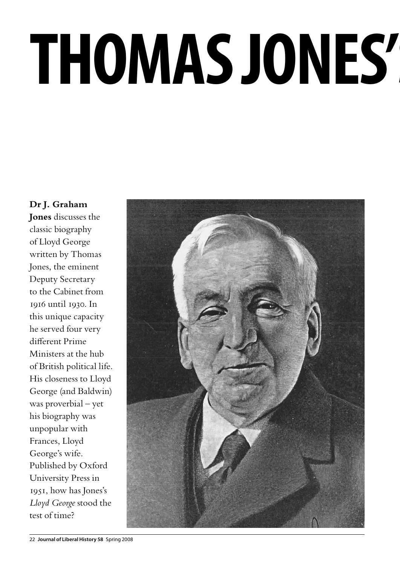# **Thomas Jones's** *Lloyd George*

**Dr J. Graham Jones** discusses the classic biography of Lloyd George written by Thomas Jones, the eminent Deputy Secretary to the Cabinet from 1916 until 1930. In this unique capacity he served four very different Prime Ministers at the hub of British political life. His closeness to Lloyd George (and Baldwin) was proverbial – yet his biography was unpopular with Frances, Lloyd George's wife. Published by Oxford University Press in 1951, how has Jones's *Lloyd George* stood the test of time?

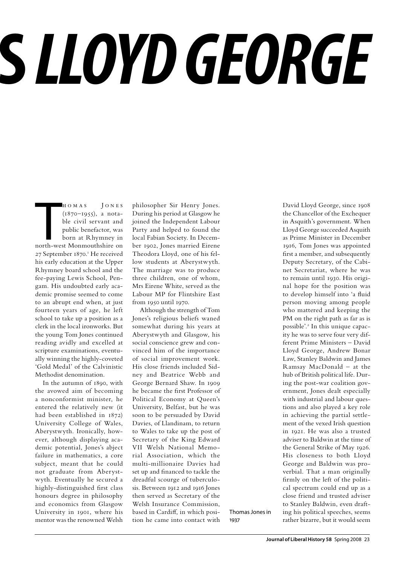## **Thomas Jones's** *Lloyd George*

HOMAS JONES<br>
(1870–1955), a nota-<br>
ble civil servant and<br>
public benefactor, was<br>
born at Rhymney in<br>
north-west Monmouthshire on h o m a s J o n e s (1870–1955), a notable civil servant and public benefactor, was born at Rhymney in 27 September 1870.<sup>1</sup> He received his early education at the Upper Rhymney board school and the fee-paying Lewis School, Pengam. His undoubted early academic promise seemed to come to an abrupt end when, at just fourteen years of age, he left school to take up a position as a clerk in the local ironworks. But the young Tom Jones continued reading avidly and excelled at scripture examinations, eventually winning the highly-coveted 'Gold Medal' of the Calvinistic Methodist denomination.

In the autumn of 1890, with the avowed aim of becoming a nonconformist minister, he entered the relatively new (it had been established in 1872) University College of Wales, Aberystwyth. Ironically, however, although displaying academic potential, Jones's abject failure in mathematics, a core subject, meant that he could not graduate from Aberystwyth. Eventually he secured a highly-distinguished first class honours degree in philosophy and economics from Glasgow University in 1901, where his mentor was the renowned Welsh

philosopher Sir Henry Jones. During his period at Glasgow he joined the Independent Labour Party and helped to found the local Fabian Society. In December 1902, Jones married Eirene Theodora Lloyd, one of his fellow students at Aberystwyth. The marriage was to produce three children, one of whom, Mrs Eirene White, served as the Labour MP for Flintshire East from 1950 until 1970.

Although the strength of Tom Jones's religious beliefs waned somewhat during his years at Aberystwyth and Glasgow, his social conscience grew and convinced him of the importance of social improvement work. His close friends included Sidney and Beatrice Webb and George Bernard Shaw. In 1909 he became the first Professor of Political Economy at Queen's University, Belfast, but he was soon to be persuaded by David Davies, of Llandinam, to return to Wales to take up the post of Secretary of the King Edward VII Welsh National Memorial Association, which the multi-millionaire Davies had set up and financed to tackle the dreadful scourge of tuberculosis. Between 1912 and 1916 Jones then served as Secretary of the Welsh Insurance Commission, based in Cardiff, in which position he came into contact with

Thomas Jones in 1937

David Lloyd George, since 1908 the Chancellor of the Exchequer in Asquith's government. When Lloyd George succeeded Asquith as Prime Minister in December 1916, Tom Jones was appointed first a member, and subsequently Deputy Secretary, of the Cabinet Secretariat, where he was to remain until 1930. His original hope for the position was to develop himself into 'a fluid person moving among people who mattered and keeping the PM on the right path as far as is possible'.<sup>2</sup> In this unique capacity he was to serve four very different Prime Ministers – David Lloyd George, Andrew Bonar Law, Stanley Baldwin and James Ramsay MacDonald – at the hub of British political life. During the post-war coalition government, Jones dealt especially with industrial and labour questions and also played a key role in achieving the partial settlement of the vexed Irish question in 1921. He was also a trusted adviser to Baldwin at the time of the General Strike of May 1926. His closeness to both Lloyd George and Baldwin was proverbial. That a man originally firmly on the left of the political spectrum could end up as a close friend and trusted adviser to Stanley Baldwin, even drafting his political speeches, seems rather bizarre, but it would seem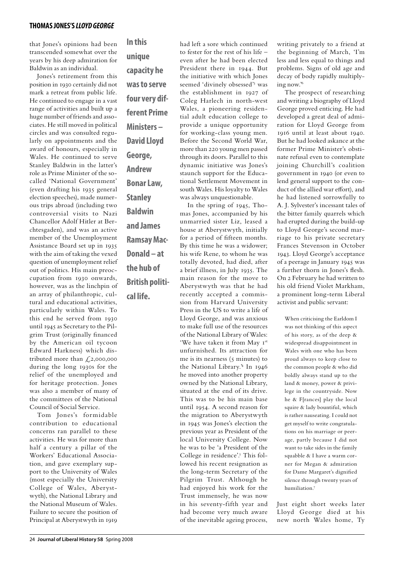that Jones's opinions had been transcended somewhat over the years by his deep admiration for Baldwin as an individual.

Jones's retirement from this position in 1930 certainly did not mark a retreat from public life. He continued to engage in a vast range of activities and built up a huge number of friends and associates. He still moved in political circles and was consulted regularly on appointments and the award of honours, especially in Wales. He continued to serve Stanley Baldwin in the latter's role as Prime Minister of the socalled 'National Government' (even drafting his 1935 general election speeches), made numerous trips abroad (including two controversial visits to Nazi Chancellor Adolf Hitler at Berchtesgaden), and was an active member of the Unemployment Assistance Board set up in 1935 with the aim of taking the vexed question of unemployment relief out of politics. His main preoccupation from 1930 onwards, however, was as the linchpin of an array of philanthropic, cultural and educational activities, particularly within Wales. To this end he served from 1930 until 1945 as Secretary to the Pilgrim Trust (originally financed by the American oil tycoon Edward Harkness) which distributed more than  $\sqrt{2,000,000}$ during the long 1930s for the relief of the unemployed and for heritage protection. Jones was also a member of many of the committees of the National Council of Social Service.

Tom Jones's formidable contribution to educational concerns ran parallel to these activities. He was for more than half a century a pillar of the Workers' Educational Association, and gave exemplary support to the University of Wales (most especially the University College of Wales, Aberystwyth), the National Library and the National Museum of Wales. Failure to secure the position of Principal at Aberystwyth in 1919

**In this unique capacity he was to serve four very different Prime Ministers – David Lloyd George, Andrew Bonar Law, Stanley Baldwin and James Ramsay Mac-Donald – at the hub of British political life.**

had left a sore which continued to fester for the rest of his life – even after he had been elected President there in 1944. But the initiative with which Jones seemed 'divinely obsessed'3 was the establishment in 1927 of Coleg Harlech in north-west Wales, a pioneering residential adult education college to provide a unique opportunity for working-class young men. Before the Second World War, more than 220 young men passed through its doors. Parallel to this dynamic initiative was Jones's staunch support for the Educational Settlement Movement in south Wales. His loyalty to Wales was always unquestionable. In the spring of 1945, Tho-

mas Jones, accompanied by his unmarried sister Liz, leased a house at Aberystwyth, initially for a period of fifteen months. By this time he was a widower; his wife Rene, to whom he was totally devoted, had died, after a brief illness, in July 1935. The main reason for the move to Aberystwyth was that he had recently accepted a commission from Harvard University Press in the US to write a life of Lloyd George, and was anxious to make full use of the resources of the National Library of Wales: 'We have taken it from May 1st unfurnished. Its attraction for me is its nearness (5 minutes) to the National Library.'4 In 1946 he moved into another property owned by the National Library, situated at the end of its drive. This was to be his main base until 1954. A second reason for the migration to Aberystwyth in 1945 was Jones's election the previous year as President of the local University College. Now he was to be 'a President of the College in residence'.<sup>5</sup> This followed his recent resignation as the long-term Secretary of the Pilgrim Trust. Although he had enjoyed his work for the Trust immensely, he was now in his seventy-fifth year and had become very much aware of the inevitable ageing process,

writing privately to a friend at the beginning of March, 'I'm less and less equal to things and problems. Signs of old age and decay of body rapidly multiplying now.'6

The prospect of researching and writing a biography of Lloyd George proved enticing. He had developed a great deal of admiration for Lloyd George from 1916 until at least about 1940. But he had looked askance at the former Prime Minister's obstinate refusal even to contemplate joining Churchill's coalition government in 1940 (or even to lend general support to the conduct of the allied war effort), and he had listened sorrowfully to A. J. Sylvester's incessant tales of the bitter family quarrels which had erupted during the build-up to Lloyd George's second marriage to his private secretary Frances Stevenson in October 1943. Lloyd George's acceptance of a peerage in January 1945 was a further thorn in Jones's flesh. On 2 February he had written to his old friend Violet Markham, a prominent long-term Liberal activist and public servant:

When criticising the Earldom I was not thinking of this aspect of his story, as of the deep & widespread disappointment in Wales with one who has been proud always to keep close to the common people & who did boldly always stand up to the land & money, power & privilege in the countryside. Now he & F[rances] play the local squire & lady bountiful, which is rather nauseating. I could not get myself to write congratulations on his marriage or peerage, partly because I did not want to take sides in the family squabble & I have a warm corner for Megan & admiration for Dame Margaret's dignified silence through twenty years of humiliation.7

Just eight short weeks later Lloyd George died at his new north Wales home, Ty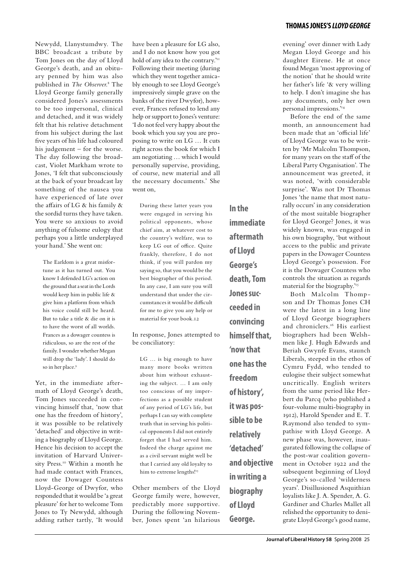Newydd, Llanystumdwy. The BBC broadcast a tribute by Tom Jones on the day of Lloyd George's death, and an obituary penned by him was also published in *The Observer*. 8 The Lloyd George family generally considered Jones's assessments to be too impersonal, clinical and detached, and it was widely felt that his relative detachment from his subject during the last five years of his life had coloured his judgement – for the worse. The day following the broadcast, Violet Markham wrote to Jones, 'I felt that subconsciously at the back of your broadcast lay something of the nausea you have experienced of late over the affairs of LG & his family & the sordid turns they have taken. You were so anxious to avoid anything of fulsome eulogy that perhaps you a little underplayed your hand.' She went on:

The Earldom is a great misfortune as it has turned out. You know I defended LG's action on the ground that a seat in the Lords would keep him in public life & give him a platform from which his voice could still be heard. But to take a title & die on it is to have the worst of all worlds. Frances as a dowager countess is ridiculous, so are the rest of the family. I wonder whether Megan will drop the 'lady'. I should do so in her place.<sup>9</sup>

Yet, in the immediate aftermath of Lloyd George's death, Tom Jones succeeded in convincing himself that, 'now that one has the freedom of history', it was possible to be relatively 'detached' and objective in writing a biography of Lloyd George. Hence his decision to accept the invitation of Harvard University Press.<sup>10</sup> Within a month he had made contact with Frances, now the Dowager Countess Lloyd-George of Dwyfor, who responded that it would be 'a great pleasure' for her to welcome Tom Jones to Ty Newydd, although adding rather tartly, 'It would

have been a pleasure for LG also, and I do not know how you got hold of any idea to the contrary." Following their meeting (during which they went together amicably enough to see Lloyd George's impressively simple grave on the banks of the river Dwyfor), however, Frances refused to lend any help or support to Jones's venture: 'I do not feel very happy about the book which you say you are proposing to write on LG … It cuts right across the book for which I am negotiating … which I would personally supervise, providing, of course, new material and all the necessary documents.' She went on

During these latter years you were engaged in serving his political opponents, whose chief aim, at whatever cost to the country's welfare, was to keep LG out of office. Quite frankly, therefore, I do not think, if you will pardon my saying so, that you would be the best biographer of this period. In any case, I am sure you will understand that under the circumstances it would be difficult for me to give you any help or material for your book.12

In response, Jones attempted to be conciliatory:

LG … is big enough to have many more books written about him without exhausting the subject. … I am only too conscious of my imperfections as a possible student of any period of LG's life, but perhaps I can say with complete truth that in serving his political opponents I did not entirely forget that I had served him. Indeed the charge against me as a civil servant might well be that I carried any old loyalty to him to extreme lengths!<sup>13</sup>

Other members of the Lloyd George family were, however, predictably more supportive. During the following November, Jones spent 'an hilarious **In the immediate aftermath of Lloyd George's death, Tom Jones succeeded in convincing himself that, 'now that one has the freedom of history', it was possible to be relatively 'detached' and objective in writing a biography of Lloyd George.**

evening' over dinner with Lady Megan Lloyd George and his daughter Eirene. He at once found Megan 'most approving of the notion' that he should write her father's life '& very willing to help. I don't imagine she has any documents, only her own personal impressions.'14

Before the end of the same month, an announcement had been made that an 'official life' of Lloyd George was to be written by 'Mr Malcolm Thompson, for many years on the staff of the Liberal Party Organisation'. The announcement was greeted, it was noted, 'with considerable surprise'. Was not Dr Thomas Jones 'the name that most naturally occurs' in any consideration of the most suitable biographer for Lloyd George? Jones, it was widely known, was engaged in his own biography, 'but without access to the public and private papers in the Dowager Countess Lloyd George's possession. For it is the Dowager Countess who controls the situation as regards material for the biography.'15

Both Malcolm Thompson and Dr Thomas Jones CH were the latest in a long line of Lloyd George biographers and chroniclers.16 His earliest biographers had been Welshmen like J. Hugh Edwards and Beriah Gwynfe Evans, staunch Liberals, steeped in the ethos of Cymru Fydd, who tended to eulogise their subject somewhat uncritically. English writers from the same period like Herbert du Parcq (who published a four-volume multi-biography in 1912), Harold Spender and E. T. Raymond also tended to sympathise with Lloyd George. A new phase was, however, inaugurated following the collapse of the post-war coalition government in October 1922 and the subsequent beginning of Lloyd George's so-called 'wilderness years'. Disillusioned Asquithian loyalists like J. A. Spender, A. G. Gardiner and Charles Mallet all relished the opportunity to denigrate Lloyd George's good name,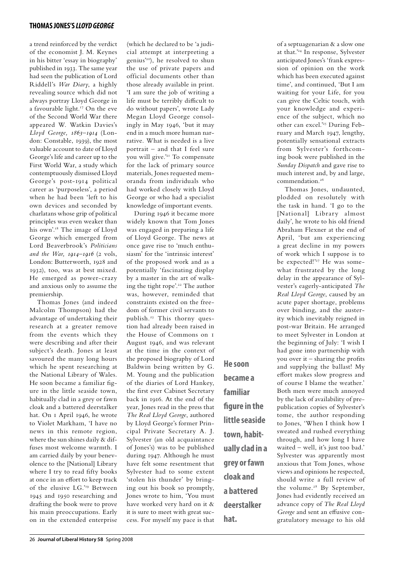a trend reinforced by the verdict of the economist J. M. Keynes in his bitter 'essay in biography' published in 1933. The same year had seen the publication of Lord Riddell's *War Diary*, a highly revealing source which did not always portray Lloyd George in a favourable light.17 On the eve of the Second World War there appeared W. Watkin Davies's *Lloyd George, 1863–1914* (London: Constable, 1939), the most valuable account to date of Lloyd George's life and career up to the First World War, a study which contemptuously dismissed Lloyd George's post-1914 political career as 'purposeless', a period when he had been 'left to his own devices and seconded by charlatans whose grip of political principles was even weaker than his own'.<sup>18</sup> The image of Lloyd George which emerged from Lord Beaverbrook's *Politicians and the War, 1914–1916* (2 vols, London: Butterworth, 1928 and 1932), too, was at best mixed. He emerged as power-crazy and anxious only to assume the premiership.

Thomas Jones (and indeed Malcolm Thompson) had the advantage of undertaking their research at a greater remove from the events which they were describing and after their subject's death. Jones at least savoured the many long hours which he spent researching at the National Library of Wales. He soon became a familiar figure in the little seaside town, habitually clad in a grey or fawn cloak and a battered deerstalker hat. On 1 April 1946, he wrote to Violet Markham, 'I have no news in this remote region, where the sun shines daily & diffuses most welcome warmth. I am carried daily by your benevolence to the [National] Library where I try to read fifty books at once in an effort to keep track of the elusive LG.'19 Between 1945 and 1950 researching and drafting the book were to prove his main preoccupations. Early on in the extended enterprise (which he declared to be 'a judicial attempt at interpreting a genius'20), he resolved to shun the use of private papers and official documents other than those already available in print. 'I am sure the job of writing a life must be terribly difficult to do without papers', wrote Lady Megan Lloyd George consolingly in May 1946, 'but it may end in a much more human narrative. What is needed is a live portrait – and that I feel sure you will give.'21 To compensate for the lack of primary source materials, Jones requested memoranda from individuals who had worked closely with Lloyd George or who had a specialist knowledge of important events.

During 1946 it became more widely known that Tom Jones was engaged in preparing a life of Lloyd George. The news at once gave rise to 'much enthusiasm' for the 'intrinsic interest' of the proposed work and as a potentially 'fascinating display by a master in the art of walking the tight rope'.22 The author was, however, reminded that constraints existed on the freedom of former civil servants to publish.23 This thorny question had already been raised in the House of Commons on 1 August 1946, and was relevant at the time in the context of the proposed biography of Lord Baldwin being written by G. M. Young and the publication of the diaries of Lord Hankey, the first ever Cabinet Secretary back in 1916. At the end of the year, Jones read in the press that *The Real Lloyd George*, authored by Lloyd George's former Principal Private Secretary A. J. Sylvester (an old acquaintance of Jones's) was to be published during 1947. Although he must have felt some resentment that Sylvester had to some extent 'stolen his thunder' by bringing out his book so promptly, Jones wrote to him, 'You must have worked very hard on it & it is sure to meet with great success. For myself my pace is that

**He soon became a familiar figure in the little seaside town, habitually clad in a grey or fawn cloak and a battered deerstalker hat.**

of a septuagenarian & a slow one at that.'24 In response, Sylvester anticipated Jones's 'frank expression of opinion on the work which has been executed against time', and continued, 'But I am waiting for your Life, for you can give the Celtic touch, with your knowledge and experience of the subject, which no other can excel.'25 During February and March 1947, lengthy, potentially sensational extracts from Sylvester's forthcoming book were published in the *Sunday Dispatch* and gave rise to much interest and, by and large, commendation.<sup>26</sup>

Thomas Jones, undaunted, plodded on resolutely with the task in hand. 'I go to the [National] Library almost daily', he wrote to his old friend Abraham Flexner at the end of April, 'but am experiencing a great decline in my powers of work which I suppose is to be expected!'27 He was somewhat frustrated by the long delay in the appearance of Sylvester's eagerly-anticipated *The Real Lloyd George*, caused by an acute paper shortage, problems over binding, and the austerity which inevitably reigned in post-war Britain. He arranged to meet Sylvester in London at the beginning of July: 'I wish I had gone into partnership with you over it – sharing the profits and supplying the ballast! My effort makes slow progress and of course I blame the weather.' Both men were much annoyed by the lack of availability of prepublication copies of Sylvester's tome, the author responding to Jones, 'When I think how I sweated and rushed everything through, and how long I have waited – well, it's just too bad.' Sylvester was apparently most anxious that Tom Jones, whose views and opinions he respected, should write a full review of the volume.<sup>28</sup> By September, Jones had evidently received an advance copy of *The Real Lloyd George* and sent an effusive congratulatory message to his old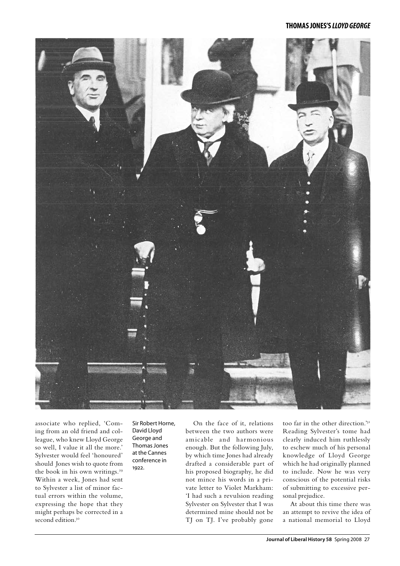

associate who replied, 'Coming from an old friend and colleague, who knew Lloyd George so well, I value it all the more.' Sylvester would feel 'honoured' should Jones wish to quote from the book in his own writings.<sup>29</sup> Within a week, Jones had sent to Sylvester a list of minor factual errors within the volume, expressing the hope that they might perhaps be corrected in a second edition.<sup>30</sup>

Sir Robert Horne, David Lloyd George and Thomas Jones at the Cannes conference in 1922.

On the face of it, relations between the two authors were amicable and harmonious enough. But the following July, by which time Jones had already drafted a considerable part of his proposed biography, he did not mince his words in a private letter to Violet Markham: 'I had such a revulsion reading Sylvester on Sylvester that I was determined mine should not be TJ on TJ. I've probably gone

too far in the other direction.'31 Reading Sylvester's tome had clearly induced him ruthlessly to eschew much of his personal knowledge of Lloyd George which he had originally planned to include. Now he was very conscious of the potential risks of submitting to excessive personal prejudice.

At about this time there was an attempt to revive the idea of a national memorial to Lloyd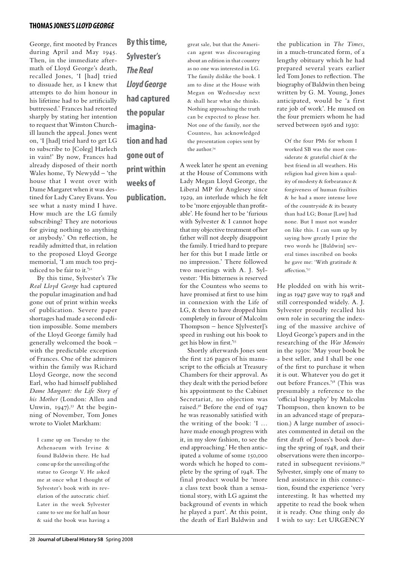George, first mooted by Frances during April and May 1945. Then, in the immediate aftermath of Lloyd George's death, recalled Jones, 'I [had] tried to dissuade her, as I knew that attempts to do him honour in his lifetime had to be artificially buttressed.' Frances had retorted sharply by stating her intention to request that Winston Churchill launch the appeal. Jones went on, 'I [had] tried hard to get LG to subscribe to [Coleg] Harlech in vain!' By now, Frances had already disposed of their north Wales home, Ty Newydd – 'the house that I went over with Dame Margaret when it was destined for Lady Carey Evans. You see what a nasty mind I have. How much are the LG family subscribing? They are notorious for giving nothing to anything or anybody.' On reflection, he readily admitted that, in relation to the proposed Lloyd George memorial, 'I am much too prejudiced to be fair to it.'32

By this time, Sylvester's *The Real Lloyd George* had captured the popular imagination and had gone out of print within weeks of publication. Severe paper shortages had made a second edition impossible. Some members of the Lloyd George family had generally welcomed the book – with the predictable exception of Frances. One of the admirers within the family was Richard Lloyd George, now the second Earl, who had himself published *Dame Margaret: the Life Story of his Mother* (London: Allen and Unwin,  $1947$ ).<sup>33</sup> At the beginning of November, Tom Jones wrote to Violet Markham:

I came up on Tuesday to the Athenaeum with Irvine & found Baldwin there. He had come up for the unveiling of the statue to George V. He asked me at once what I thought of Sylvester's book with its revelation of the autocratic chief. Later in the week Sylvester came to see me for half an hour & said the book was having a

**By this time, Sylvester's**  *The Real Lloyd George* **had captured the popular imagination and had gone out of print within weeks of publication.**

great sale, but that the American agent was discouraging about an edition in that country as no one was interested in LG. The family dislike the book. I am to dine at the House with Megan on Wednesday next & shall hear what she thinks. Nothing approaching the truth can be expected to please her. Not one of the family, nor the Countess, has acknowledged the presentation copies sent by the author.<sup>34</sup>

A week later he spent an evening at the House of Commons with Lady Megan Lloyd George, the Liberal MP for Anglesey since 1929, an interlude which he felt to be 'more enjoyable than profitable'. He found her to be 'furious with Sylvester & I cannot hope that my objective treatment of her father will not deeply disappoint the family. I tried hard to prepare her for this but I made little or no impression.' There followed two meetings with A. J. Sylvester: 'His bitterness is reserved for the Countess who seems to have promised at first to use him in connexion with the Life of LG, & then to have dropped him completely in favour of Malcolm Thompson – hence S[ylvester]'s speed in rushing out his book to get his blow in first.'35

Shortly afterwards Jones sent the first 126 pages of his manuscript to the officials at Treasury Chambers for their approval. As they dealt with the period before his appointment to the Cabinet Secretariat, no objection was raised.36 Before the end of 1947 he was reasonably satisfied with the writing of the book: 'I … have made enough progress with it, in my slow fashion, to see the end approaching.' He then anticipated a volume of some 150,000 words which he hoped to complete by the spring of 1948. The final product would be 'more a class text book than a sensational story, with LG against the background of events in which he played a part'. At this point, the death of Earl Baldwin and

the publication in *The Times*, in a much-truncated form, of a lengthy obituary which he had prepared several years earlier led Tom Jones to reflection. The biography of Baldwin then being written by G. M. Young, Jones anticipated, would be 'a first rate job of work'. He mused on the four premiers whom he had served between 1916 and 1930:

Of the four PMs for whom I worked SB was the most considerate & grateful chief & the best friend in all weathers. His religion had given him a quality of modesty & forbearance & forgiveness of human frailties & he had a more intense love of the countryside & its beauty than had LG; Bonar [Law] had none. But I must not wander on like this. I can sum up by saying how greatly I prize the two words he [Baldwin] several times inscribed on books he gave me: 'With gratitude & affection.'37

He plodded on with his writing as 1947 gave way to 1948 and still corresponded widely. A. J. Sylvester proudly recalled his own role in securing the indexing of the massive archive of Lloyd George's papers and in the researching of the *War Memoirs* in the 1930s: 'May your book be a best seller, and I shall be one of the first to purchase it when it is out. Whatever you do get it out before Frances.'38 (This was presumably a reference to the 'official biography' by Malcolm Thompson, then known to be in an advanced stage of preparation.) A large number of associates commented in detail on the first draft of Jones's book during the spring of 1948, and their observations were then incorporated in subsequent revisions.39 Sylvester, simply one of many to lend assistance in this connection, found the experience 'very interesting. It has whetted my appetite to read the book when it is ready. One thing only do I wish to say: Let URGENCY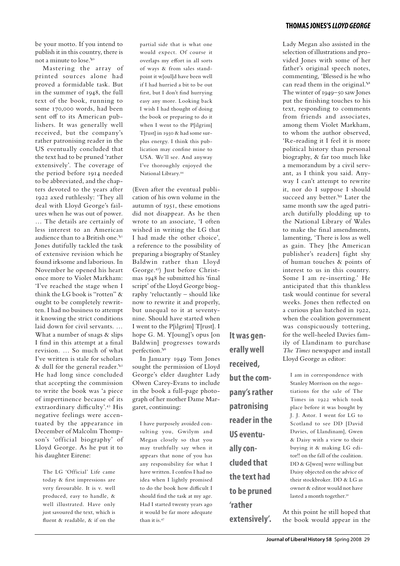### be your motto. If you intend to publish it in this country, there is not a minute to lose.'40

Mastering the array of printed sources alone had proved a formidable task. But in the summer of 1948, the full text of the book, running to some 170,000 words, had been sent off to its American publishers. It was generally well received, but the company's rather patronising reader in the US eventually concluded that the text had to be pruned 'rather extensively'. The coverage of the period before 1914 needed to be abbreviated, and the chapters devoted to the years after 1922 axed ruthlessly: 'They all deal with Lloyd George's failures when he was out of power. … The details are certainly of less interest to an American audience than to a British one.'41 Jones dutifully tackled the task of extensive revision which he found irksome and laborious. In November he opened his heart once more to Violet Markham: 'I've reached the stage when I think the LG book is "rotten" & ought to be completely rewritten. I had no business to attempt it knowing the strict conditions laid down for civil servants. … What a number of snags & slips I find in this attempt at a final revision. … So much of what I've written is stale for scholars & dull for the general reader.'42 He had long since concluded that accepting the commission to write the book was 'a piece of impertinence because of its extraordinary difficulty'.43 His negative feelings were accentuated by the appearance in December of Malcolm Thompson's 'official biography' of Lloyd George. As he put it to his daughter Eirene:

The LG 'Official' Life came today & first impressions are very favourable. It is v. well produced, easy to handle, & well illustrated. Have only just savoured the text, which is fluent & readable, & if on the partial side that is what one would expect. Of course it overlaps my effort in all sorts of ways & from sales standpoint it w[oul]d have been well if I had hurried a bit to be out first, but I don't find hurrying easy any more. Looking back I wish I had thought of doing the book or preparing to do it when I went to the P[ilgrim] T[rust] in 1930 & had some surplus energy. I think this publication may confine mine to USA. We'll see. And anyway I've thoroughly enjoyed the National Library.44

(Even after the eventual publication of his own volume in the autumn of 1951, these emotions did not disappear. As he then wrote to an associate, 'I often wished in writing the LG that I had made the other choice', a reference to the possibility of preparing a biography of Stanley Baldwin rather than Lloyd George.45) Just before Christmas 1948 he submitted his 'final script' of the Lloyd George biography 'reluctantly – should like now to rewrite it and properly, but unequal to it at seventynine. Should have started when I went to the P[ilgrim] T[rust]. I hope G. M. Y[oung]'s opus [on Baldwin] progresses towards perfection.'46

In January 1949 Tom Jones sought the permission of Lloyd George's elder daughter Lady Olwen Carey-Evans to include in the book a full-page photograph of her mother Dame Margaret, continuing:

I have purposely avoided consulting you, Gwilym and Megan closely so that you may truthfully say when it appears that none of you has any responsibility for what I have written. I confess I had no idea when I lightly promised to do the book how difficult I should find the task at my age. Had I started twenty years ago it would be far more adequate than it is.47

**It was generally well received, but the company's rather patronising reader in the US eventually concluded that the text had to be pruned 'rather extensively'.**

### **thomas jones's** *lloyd george*

Lady Megan also assisted in the selection of illustrations and provided Jones with some of her father's original speech notes, commenting, 'Blessed is he who can read them in the original.<sup>48</sup> The winter of 1949–50 saw Jones put the finishing touches to his text, responding to comments from friends and associates, among them Violet Markham, to whom the author observed, 'Re-reading it I feel it is more political history than personal biography, & far too much like a memorandum by a civil servant, as I think you said. Anyway I can't attempt to rewrite it, nor do I suppose I should succeed any better.<sup>49</sup> Later the same month saw the aged patriarch dutifully plodding up to the National Library of Wales to make the final amendments, lamenting, 'There is loss as well as gain. They [the American publisher's readers] fight shy of human touches & points of interest to us in this country. Some I am re-inserting.' He anticipated that this thankless task would continue for several weeks. Jones then reflected on a curious plan hatched in 1922, when the coalition government was conspicuously tottering, for the well-heeled Davies family of Llandinam to purchase *The Times* newspaper and install Lloyd George as editor:

I am in correspondence with Stanley Morrison on the negotiations for the sale of The Times in 1922 which took place before it was bought by J. J. Astor. I went for LG to Scotland to see DD [David Davies, of Llandinam], Gwen & Daisy with a view to their buying it & making LG editor!! on the fall of the coalition. DD & G[wen] were willing but Daisy objected on the advice of their stockbroker. DD & LG as owner & editor would not have lasted a month together.<sup>50</sup>

At this point he still hoped that the book would appear in the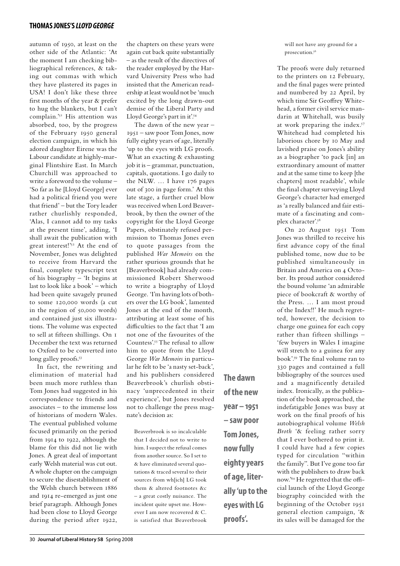autumn of 1950, at least on the other side of the Atlantic: 'At the moment I am checking bibliographical references, & taking out commas with which they have plastered its pages in USA! I don't like these three first months of the year & prefer to hug the blankets, but I can't complain.'51 His attention was absorbed, too, by the progress of the February 1950 general election campaign, in which his adored daughter Eirene was the Labour candidate at highly-marginal Flintshire East. In March Churchill was approached to write a foreword to the volume – 'So far as he [Lloyd George] ever had a political friend you were that friend' – but the Tory leader rather churlishly responded, 'Alas, I cannot add to my tasks at the present time', adding, 'I shall await the publication with great interest!'52 At the end of November, Jones was delighted to receive from Harvard the final, complete typescript text of his biography – 'It begins at last to look like a book' – which had been quite savagely pruned to some 120,000 words (a cut in the region of 50,000 words) and contained just six illustrations. The volume was expected to sell at fifteen shillings. On 1 December the text was returned to Oxford to be converted into long galley proofs.<sup>53</sup>

In fact, the rewriting and elimination of material had been much more ruthless than Tom Jones had suggested in his correspondence to friends and associates – to the immense loss of historians of modern Wales. The eventual published volume focused primarily on the period from 1914 to 1922, although the blame for this did not lie with Jones. A great deal of important early Welsh material was cut out. A whole chapter on the campaign to secure the disestablishment of the Welsh church between 1886 and 1914 re-emerged as just one brief paragraph. Although Jones had been close to Lloyd George during the period after 1922,

the chapters on these years were again cut back quite substantially – as the result of the directives of the reader employed by the Harvard University Press who had insisted that the American readership at least would not be 'much excited by the long drawn-out demise of the Liberal Party and Lloyd George's part in it'.54

The dawn of the new year – 1951 – saw poor Tom Jones, now fully eighty years of age, literally 'up to the eyes with LG proofs. What an exacting & exhausting job it is – grammar, punctuation, capitals, quotations. I go daily to the NLW. … I have 176 pages out of 300 in page form.' At this late stage, a further cruel blow was received when Lord Beaverbrook, by then the owner of the copyright for the Lloyd George Papers, obstinately refused permission to Thomas Jones even to quote passages from the published *War Memoirs* on the rather spurious grounds that he [Beaverbrook] had already commissioned Robert Sherwood to write a biography of Lloyd George. 'I'm having lots of bothers over the LG book', lamented Jones at the end of the month, attributing at least some of his difficulties to the fact that 'I am not one of the favourites of the Countess'.55 The refusal to allow him to quote from the Lloyd George *War Memoirs* in particular he felt to be 'a nasty set-back', and his publishers considered Beaverbrook's churlish obstinacy 'unprecedented in their experience', but Jones resolved not to challenge the press magnate's decision as:

Beaverbrook is so incalculable that I decided not to write to him. I suspect the refusal comes from another source. So I set to & have eliminated several quotations & traced several to their sources from wh[ich] LG took them & altered footnotes &c – a great costly nuisance. The incident quite upset me. However I am now recovered & C. is satisfied that Beaverbrook **The dawn of the new year – 1951 – saw poor Tom Jones, now fully eighty years of age, literally 'up to the eyes with LG proofs'.**

will not have any ground for a prosecution.56

The proofs were duly returned to the printers on 12 February, and the final pages were printed and numbered by 22 April, by which time Sir Geoffrey Whitehead, a former civil service mandarin at Whitehall, was busily at work preparing the index.57 Whitehead had completed his laborious chore by 10 May and lavished praise on Jones's ability as a biographer 'to pack [in] an extraordinary amount of matter and at the same time to keep [the chapters] most readable', while the final chapter surveying Lloyd George's character had emerged as 'a really balanced and fair estimate of a fascinating and complex character'.58

On 20 August 1951 Tom Jones was thrilled to receive his first advance copy of the final published tome, now due to be published simultaneously in Britain and America on 4 October. Its proud author considered the bound volume 'an admirable piece of bookcraft & worthy of the Press. … I am most proud of the Index!!' He much regretted, however, the decision to charge one guinea for each copy rather than fifteen shillings – 'few buyers in Wales I imagine will stretch to a guinea for any book'.59 The final volume ran to 330 pages and contained a full bibliography of the sources used and a magnificently detailed index. Ironically, as the publication of the book approached, the indefatigable Jones was busy at work on the final proofs of his autobiographical volume *Welsh Broth* '& feeling rather sorry that I ever bothered to print it. I could have had a few copies typed for circulation "within the family". But I've gone too far with the publishers to draw back now.'60 He regretted that the official launch of the Lloyd George biography coincided with the beginning of the October 1951 general election campaign, '& its sales will be damaged for the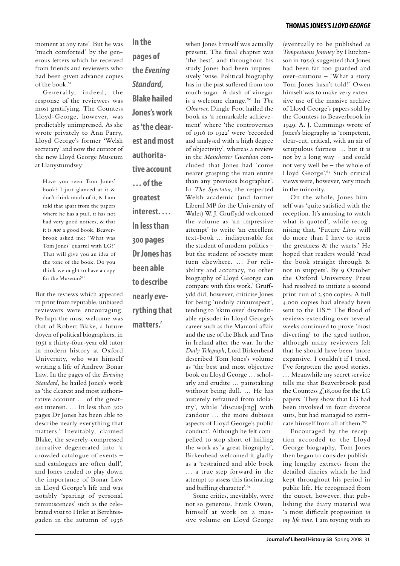moment at any rate'. But he was 'much comforted' by the generous letters which he received from friends and reviewers who had been given advance copies of the book.<sup>61</sup>

Generally, indeed, the response of the reviewers was most gratifying. The Countess Lloyd-George, however, was predictably unimpressed. As she wrote privately to Ann Parry, Lloyd George's former 'Welsh secretary' and now the curator of the new Lloyd George Museum at Llanystumdwy:

Have you seen Tom Jones' book? I just glanced at it & don't think much of it, & I am told that apart from the papers where he has a pull, it has not had very good notices, & that it is *not* a good book. Beaverbrook asked me: 'What was Tom Jones' quarrel with LG?' That will give you an idea of the tone of the book. Do you think we ought to have a copy for the Museum?<sup>62</sup>

But the reviews which appeared in print from reputable, unbiased reviewers were encouraging. Perhaps the most welcome was that of Robert Blake, a future doyen of political biographers, in 1951 a thirty-four-year old tutor in modern history at Oxford University, who was himself writing a life of Andrew Bonar Law. In the pages of the *Evening Standard*, he hailed Jones's work as 'the clearest and most authoritative account … of the greatest interest. … In less than 300 pages Dr Jones has been able to describe nearly everything that matters.' Inevitably, claimed Blake, the severely-compressed narrative degenerated into 'a crowded catalogue of events – and catalogues are often dull', and Jones tended to play down the importance of Bonar Law in Lloyd George's life and was notably 'sparing of personal reminiscences' such as the celebrated visit to Hitler at Berchtesgaden in the autumn of 1936 **In the pages of the** *Evening Standard***, Blake hailed Jones's work as 'the clearest and most authoritative account … of the greatest interest. … In less than 300 pages Dr Jones has been able to describe nearly everything that matters.'**

present. The final chapter was 'the best', and throughout his study Jones had been impressively 'wise. Political biography has in the past suffered from too much sugar. A dash of vinegar is a welcome change.'63 In *The Observer*, Dingle Foot hailed the book as 'a remarkable achievement' where 'the controversies of 1916 to 1922' were 'recorded and analysed with a high degree of objectivity', whereas a review in the *Manchester Guardian* concluded that Jones had 'come nearer grasping the man entire than any previous biographer'. In *The Spectator*, the respected Welsh academic (and former Liberal MP for the University of Wales) W. J. Gruffydd welcomed the volume as 'an impressive attempt' to write 'an excellent text-book … indispensable for the student of modern politics – but the student of society must turn elsewhere. … For reliability and accuracy, no other biography of Lloyd George can compare with this work.' Gruffydd did, however, criticise Jones for being 'unduly circumspect', tending to 'skim over' discreditable episodes in Lloyd George's career such as the Marconi affair and the use of the Black and Tans in Ireland after the war. In the *Daily Telegraph*, Lord Birkenhead described Tom Jones's volume as 'the best and most objective book on Lloyd George … scholarly and erudite … painstaking without being dull. … He has austerely refrained from idolatry', while 'discuss[ing] with candour … the more dubious aspects of Lloyd George's public conduct'. Although he felt compelled to stop short of hailing the work as 'a great biography', Birkenhead welcomed it gladly as a 'restrained and able book … a true step forward in the attempt to assess this fascinating and baffling character'.64

when Jones himself was actually

Some critics, inevitably, were not so generous. Frank Owen, himself at work on a massive volume on Lloyd George

### **thomas jones's** *lloyd george*

(eventually to be published as *Tempestuous Journey* by Hutchinson in 1954), suggested that Jones had been far too guarded and over-cautious – 'What a story Tom Jones hasn't told!' Owen himself was to make very extensive use of the massive archive of Lloyd George's papers sold by the Countess to Beaverbrook in 1949. A. J. Cummings wrote of Jones's biography as 'competent, clear-cut, critical, with an air of scrupulous fairness … but it is not by a long way – and could not very well be – the whole of Lloyd George'.65 Such critical views were, however, very much in the minority.

On the whole, Jones himself was 'quite satisfied with the reception. It's amusing to watch what is quoted', while recognising that, 'Future *Lives* will do more than I have to stress the greatness & the warts.' He hoped that readers would 'read the book straight through & not in snippets'. By 9 October the Oxford University Press had resolved to initiate a second print-run of 3,500 copies. A full 4,000 copies had already been sent to the US.<sup>66</sup> The flood of reviews extending over several weeks continued to prove 'most diverting' to the aged author, although many reviewers felt that he should have been 'more expansive. I couldn't if I tried. I've forgotten the good stories. … Meanwhile my secret service tells me that Beaverbrook paid the Countess £18,000 for the LG papers. They show that LG had been involved in four divorce suits, but had managed to extricate himself from all of them.'67

Encouraged by the reception accorded to the Lloyd George biography, Tom Jones then began to consider publishing lengthy extracts from the detailed diaries which he had kept throughout his period in public life. He recognised from the outset, however, that publishing the diary material was 'a most difficult proposition *in my life time*. I am toying with its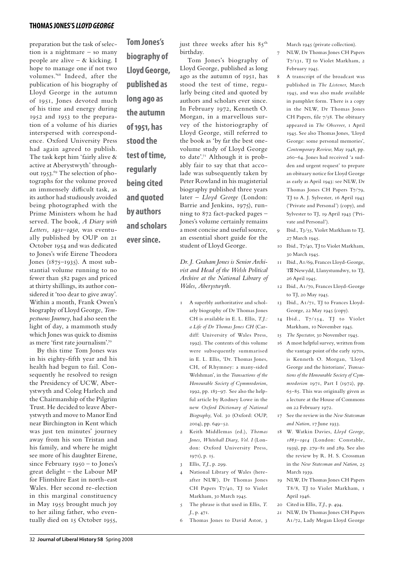preparation but the task of selection is a nightmare – so many people are alive – & kicking. I hope to manage one if not two volumes.'68 Indeed, after the publication of his biography of Lloyd George in the autumn of 1951, Jones devoted much of his time and energy during 1952 and 1953 to the preparation of a volume of his diaries interspersed with correspondence. Oxford University Press had again agreed to publish. The task kept him 'fairly alive & active at Aberystwyth' throughout 1953.69 The selection of photographs for the volume proved an immensely difficult task, as its author had studiously avoided being photographed with the Prime Ministers whom he had served. The book, *A Diary with Letters, 1931–1950*, was eventually published by OUP on 21 October 1954 and was dedicated to Jones's wife Eirene Theodora Jones (1875–1935). A most substantial volume running to no fewer than 582 pages and priced at thirty shillings, its author considered it 'too dear to give away'. Within a month, Frank Owen's biography of Lloyd George, *Tempestuous Journey*, had also seen the light of day, a mammoth study which Jones was quick to dismiss as mere 'first rate journalism'.70

By this time Tom Jones was in his eighty-fifth year and his health had begun to fail. Consequently he resolved to resign the Presidency of UCW, Aberystwyth and Coleg Harlech and the Chairmanship of the Pilgrim Trust. He decided to leave Aberystwyth and move to Manor End near Birchington in Kent which was just ten minutes' journey away from his son Tristan and his family, and where he might see more of his daughter Eirene, since February 1950 – to Jones's great delight – the Labour MP for Flintshire East in north-east Wales. Her second re-election in this marginal constituency in May 1955 brought much joy to her ailing father, who eventually died on 15 October 1955,

**Tom Jones's biography of Lloyd George, published as long ago as the autumn of 1951, has stood the test of time, regularly being cited and quoted by authors and scholars** 

**ever since.**

just three weeks after his 85<sup>th</sup> birthday.

Tom Jones's biography of Lloyd George, published as long ago as the autumn of 1951, has stood the test of time, regularly being cited and quoted by authors and scholars ever since. In February 1972, Kenneth O. Morgan, in a marvellous survey of the historiography of Lloyd George, still referred to the book as 'by far the best onevolume study of Lloyd George to date'.71 Although it is probably fair to say that that accolade was subsequently taken by Peter Rowland in his magisterial biography published three years later – *Lloyd George* (London: Barrie and Jenkins, 1975), running to 872 fact-packed pages – Jones's volume certainly remains a most concise and useful source, an essential short guide for the student of Lloyd George.

*Dr. J. Graham Jones is Senior Archivist and Head of the Welsh Political Archive at the National Library of Wales, Aberystwyth.*

- 1 A superbly authoritative and scholarly biography of Dr Thomas Jones CH is available in E. L. Ellis, *T.J.: a Life of Dr Thomas Jones CH* (Cardiff: University of Wales Press, 1992). The contents of this volume were subsequently summarised in E. L. Ellis, 'Dr. Thomas Jones, CH, of Rhymney: a many-sided Welshman', in the *Transactions of the Honourable Society of Cymmrodorion*, 1992, pp. 183–97. See also the helpful article by Rodney Lowe in the new *Oxford Dictionary of National Biography*, Vol. 30 (Oxford: OUP, 2004), pp. 649–52.
- 2 Keith Middlemas (ed.), *Thomas Jones, Whitehall Diary, Vol. I* (London: Oxford University Press, 1971), p. 15.
- 3 Ellis, *T.J*., p. 299.
- National Library of Wales (hereafter NLW), Dr Thomas Jones CH Papers T7/40, TJ to Violet Markham, 30 March 1945.
- 5 The phrase is that used in Ellis, *T. J*., p. 471.
- 6 Thomas Jones to David Astor, 3

March 1945 (private collection).

- 7 NLW, Dr Thomas Jones CH Papers T7/131, TJ to Violet Markham, 2 February 1945.
- 8 A transcript of the broadcast was published in *The Listener*, March 1945, and was also made available in pamphlet form. There is a copy in the NLW, Dr Thomas Jones CH Papers, file 7/58. The obituary appeared in *The Observer*, 1 April 1945. See also Thomas Jones, 'Lloyd George: some personal memories', *Contemporary Review*, May 1948, pp. 260–64. Jones had received 'a sudden and urgent request' to prepare an obituary notice for Lloyd George as early as April 1943: see NLW, Dr Thomas Jones CH Papers T7/79, TJ to A. J. Sylvester, 16 April 1943 ('Private and Personal') (copy), and Sylvester to TJ, 19 April 1943 ('Private and Personal').
- 9 Ibid., T3/55, Violet Markham to TJ, 27 March 1945.
- 10 Ibid., T7/40, TJ to Violet Markham, 30 March 1945.
- 11 Ibid., A1/69, Frances Lloyd-George, T Newydd, Llanystumdwy, to TJ, 26 April 1945.
- 12 Ibid., A1/70, Frances Lloyd-George to TJ, 20 May 1945.
- 13 Ibid., A1/71, TJ to Frances Lloyd-George, 22 May 1945 (copy).
- 14 Ibid., T7/154, TJ to Violet Markham, 10 November 1945.
- 15 *The Spectator*, 30 November 1945.
- 16 A most helpful survey, written from the vantage point of the early 1970s, is Kenneth O. Morgan, 'Lloyd George and the historians', *Transactions of the Honourable Society of Cymmrodorion* 1971, Part I (1972), pp. 65–85. This was originally given as a lecture at the House of Commons on 22 February 1972.
- 17 See the review in the *New Statesman and Nation*, 17 June 1933.
- 18 W. Watkin Davies, *Lloyd George, 1863–1914* (London: Constable, 1939), pp. 279–81 and 289. See also the review by R. H. S. Crossman in the *New Statesman and Nation*, 25 March 1939.
- 19 NLW, Dr Thomas Jones CH Papers T8/8, TJ to Violet Markham, 1 April 1946.
- 20 Cited in Ellis, *T.J*., p. 494.
- 21 NLW, Dr Thomas Jones CH Papers A1/72, Lady Megan Lloyd George